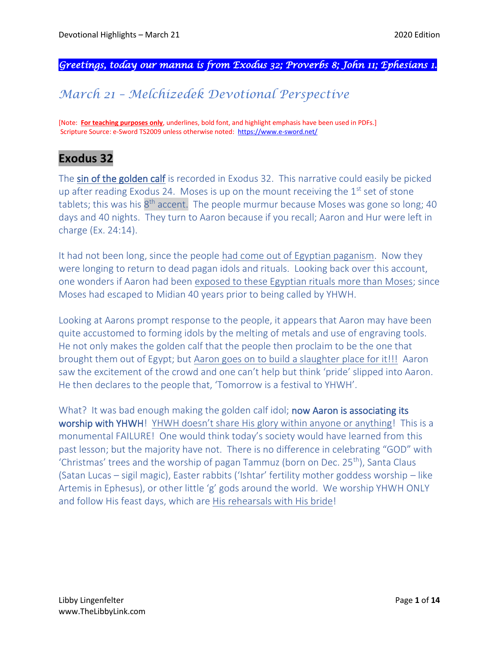*Greetings, today our manna is from Exodus 32; Proverbs 8; John 11; Ephesians 1.* 

# *March 21 – Melchizedek Devotional Perspective*

[Note: **For teaching purposes only**, underlines, bold font, and highlight emphasis have been used in PDFs.] Scripture Source: e-Sword TS2009 unless otherwise noted: <https://www.e-sword.net/>

# **Exodus 32**

The sin of the golden calf is recorded in Exodus 32. This narrative could easily be picked up after reading Exodus 24. Moses is up on the mount receiving the  $1<sup>st</sup>$  set of stone tablets; this was his 8<sup>th</sup> accent. The people murmur because Moses was gone so long; 40 days and 40 nights. They turn to Aaron because if you recall; Aaron and Hur were left in charge (Ex. 24:14).

It had not been long, since the people had come out of Egyptian paganism. Now they were longing to return to dead pagan idols and rituals. Looking back over this account, one wonders if Aaron had been exposed to these Egyptian rituals more than Moses; since Moses had escaped to Midian 40 years prior to being called by YHWH.

Looking at Aarons prompt response to the people, it appears that Aaron may have been quite accustomed to forming idols by the melting of metals and use of engraving tools. He not only makes the golden calf that the people then proclaim to be the one that brought them out of Egypt; but Aaron goes on to build a slaughter place for it!!! Aaron saw the excitement of the crowd and one can't help but think 'pride' slipped into Aaron. He then declares to the people that, 'Tomorrow is a festival to YHWH'.

What? It was bad enough making the golden calfidol; now Aaron is associating its worship with YHWH! YHWH doesn't share His glory within anyone or anything! This is a monumental FAILURE! One would think today's society would have learned from this past lesson; but the majority have not. There is no difference in celebrating "GOD" with 'Christmas' trees and the worship of pagan Tammuz (born on Dec. 25<sup>th</sup>), Santa Claus (Satan Lucas – sigil magic), Easter rabbits ('Ishtar' fertility mother goddess worship – like Artemis in Ephesus), or other little 'g' gods around the world. We worship YHWH ONLY and follow His feast days, which are His rehearsals with His bride!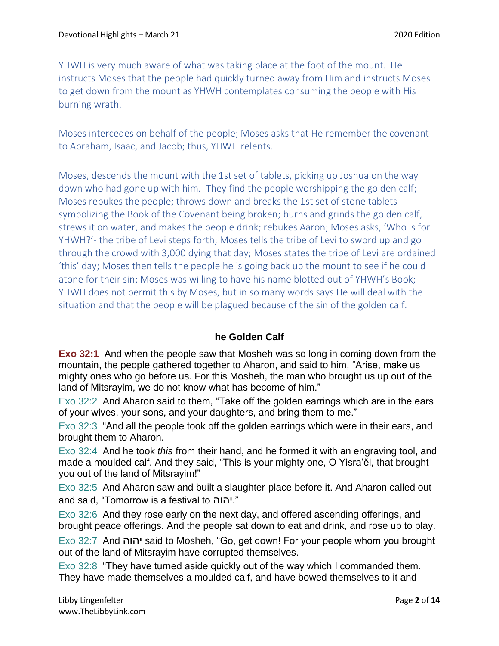YHWH is very much aware of what was taking place at the foot of the mount. He instructs Moses that the people had quickly turned away from Him and instructs Moses to get down from the mount as YHWH contemplates consuming the people with His burning wrath.

Moses intercedes on behalf of the people; Moses asks that He remember the covenant to Abraham, Isaac, and Jacob; thus, YHWH relents.

Moses, descends the mount with the 1st set of tablets, picking up Joshua on the way down who had gone up with him. They find the people worshipping the golden calf; Moses rebukes the people; throws down and breaks the 1st set of stone tablets symbolizing the Book of the Covenant being broken; burns and grinds the golden calf, strews it on water, and makes the people drink; rebukes Aaron; Moses asks, 'Who is for YHWH?'- the tribe of Levi steps forth; Moses tells the tribe of Levi to sword up and go through the crowd with 3,000 dying that day; Moses states the tribe of Levi are ordained 'this' day; Moses then tells the people he is going back up the mount to see if he could atone for their sin; Moses was willing to have his name blotted out of YHWH's Book; YHWH does not permit this by Moses, but in so many words says He will deal with the situation and that the people will be plagued because of the sin of the golden calf.

#### **he Golden Calf**

**Exo 32:1** And when the people saw that Mosheh was so long in coming down from the mountain, the people gathered together to Aharon, and said to him, "Arise, make us mighty ones who go before us. For this Mosheh, the man who brought us up out of the land of Mitsrayim, we do not know what has become of him."

Exo 32:2 And Aharon said to them, "Take off the golden earrings which are in the ears of your wives, your sons, and your daughters, and bring them to me."

Exo 32:3 "And all the people took off the golden earrings which were in their ears, and brought them to Aharon.

Exo 32:4 And he took *this* from their hand, and he formed it with an engraving tool, and made a moulded calf. And they said, "This is your mighty one, O Yisra'ěl, that brought you out of the land of Mitsrayim!"

Exo 32:5 And Aharon saw and built a slaughter-place before it. And Aharon called out and said, "Tomorrow is a festival to יהוה."

Exo 32:6 And they rose early on the next day, and offered ascending offerings, and brought peace offerings. And the people sat down to eat and drink, and rose up to play.

Exo 32:7 And יהוה said to Mosheh, "Go, get down! For your people whom you brought out of the land of Mitsrayim have corrupted themselves.

Exo 32:8 "They have turned aside quickly out of the way which I commanded them. They have made themselves a moulded calf, and have bowed themselves to it and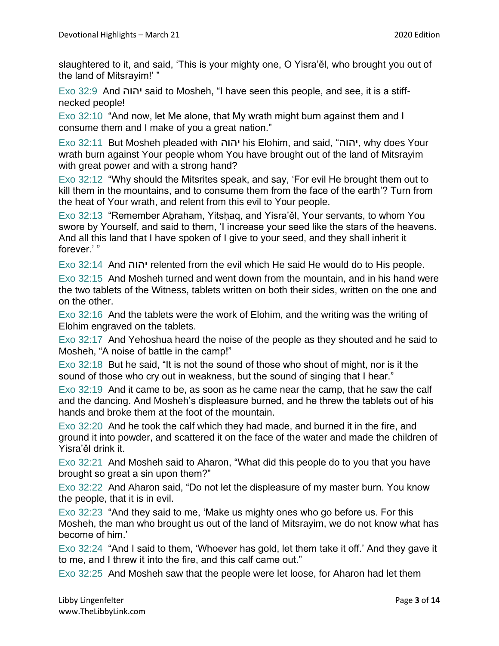slaughtered to it, and said, 'This is your mighty one, O Yisra'ěl, who brought you out of the land of Mitsrayim!' "

Exo 32:9 And יהוה said to Mosheh, "I have seen this people, and see, it is a stiffnecked people!

Exo 32:10 "And now, let Me alone, that My wrath might burn against them and I consume them and I make of you a great nation."

Exo 32:11 But Mosheh pleaded with יהוה his Elohim, and said, "יהוה, why does Your wrath burn against Your people whom You have brought out of the land of Mitsrayim with great power and with a strong hand?

Exo 32:12 "Why should the Mitsrites speak, and say, 'For evil He brought them out to kill them in the mountains, and to consume them from the face of the earth'? Turn from the heat of Your wrath, and relent from this evil to Your people.

Exo 32:13 "Remember Abraham, Yitshaq, and Yisra'ěl, Your servants, to whom You swore by Yourself, and said to them, 'I increase your seed like the stars of the heavens. And all this land that I have spoken of I give to your seed, and they shall inherit it forever.' "

Exo 32:14 And יהוה relented from the evil which He said He would do to His people.

Exo 32:15 And Mosheh turned and went down from the mountain, and in his hand were the two tablets of the Witness, tablets written on both their sides, written on the one and on the other.

Exo 32:16 And the tablets were the work of Elohim, and the writing was the writing of Elohim engraved on the tablets.

Exo 32:17 And Yehoshua heard the noise of the people as they shouted and he said to Mosheh, "A noise of battle in the camp!"

Exo 32:18 But he said, "It is not the sound of those who shout of might, nor is it the sound of those who cry out in weakness, but the sound of singing that I hear."

Exo 32:19 And it came to be, as soon as he came near the camp, that he saw the calf and the dancing. And Mosheh's displeasure burned, and he threw the tablets out of his hands and broke them at the foot of the mountain.

Exo 32:20 And he took the calf which they had made, and burned it in the fire, and ground it into powder, and scattered it on the face of the water and made the children of Yisra'ěl drink it.

Exo 32:21 And Mosheh said to Aharon, "What did this people do to you that you have brought so great a sin upon them?"

Exo 32:22 And Aharon said, "Do not let the displeasure of my master burn. You know the people, that it is in evil.

Exo 32:23 "And they said to me, 'Make us mighty ones who go before us. For this Mosheh, the man who brought us out of the land of Mitsrayim, we do not know what has become of him.'

Exo 32:24 "And I said to them, 'Whoever has gold, let them take it off.' And they gave it to me, and I threw it into the fire, and this calf came out."

Exo 32:25 And Mosheh saw that the people were let loose, for Aharon had let them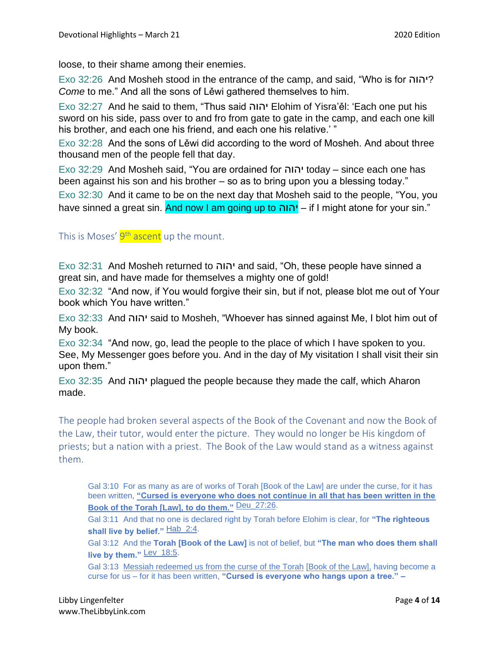loose, to their shame among their enemies.

Exo 32:26 And Mosheh stood in the entrance of the camp, and said, "Who is for יהוה ? *Come* to me." And all the sons of Lěwi gathered themselves to him.

Exo 32:27 And he said to them, "Thus said יהוה Elohim of Yisra'ěl: 'Each one put his sword on his side, pass over to and fro from gate to gate in the camp, and each one kill his brother, and each one his friend, and each one his relative.' "

Exo 32:28 And the sons of Lěwi did according to the word of Mosheh. And about three thousand men of the people fell that day.

Exo 32:29 And Mosheh said, "You are ordained for יהוה today – since each one has been against his son and his brother – so as to bring upon you a blessing today."

Exo 32:30 And it came to be on the next day that Mosheh said to the people, "You, you have sinned a great sin. And now I am going up to יהוה – if I might atone for your sin."

This is Moses' <mark>9<sup>th</sup> ascent</mark> up the mount.

Exo 32:31 And Mosheh returned to יהוה and said, "Oh, these people have sinned a great sin, and have made for themselves a mighty one of gold!

Exo 32:32 "And now, if You would forgive their sin, but if not, please blot me out of Your book which You have written."

Exo 32:33 And יהוה said to Mosheh, "Whoever has sinned against Me, I blot him out of My book.

Exo 32:34 "And now, go, lead the people to the place of which I have spoken to you. See, My Messenger goes before you. And in the day of My visitation I shall visit their sin upon them."

Exo 32:35 And יהוה plagued the people because they made the calf, which Aharon made.

The people had broken several aspects of the Book of the Covenant and now the Book of the Law, their tutor, would enter the picture. They would no longer be His kingdom of priests; but a nation with a priest. The Book of the Law would stand as a witness against them.

Gal 3:10 For as many as are of works of Torah [Book of the Law] are under the curse, for it has been written, **"Cursed is everyone who does not continue in all that has been written in the Book of the Torah [Law], to do them."** Deu\_27:26.

Gal 3:11 And that no one is declared right by Torah before Elohim is clear, for **"The righteous**  shall live by belief." Hab\_2:4.

Gal 3:12 And the **Torah [Book of the Law]** is not of belief, but **"The man who does them shall live by them."** Lev\_18:5.

Gal 3:13 Messiah redeemed us from the curse of the Torah [Book of the Law], having become a curse for us – for it has been written, **"Cursed is everyone who hangs upon a tree." –**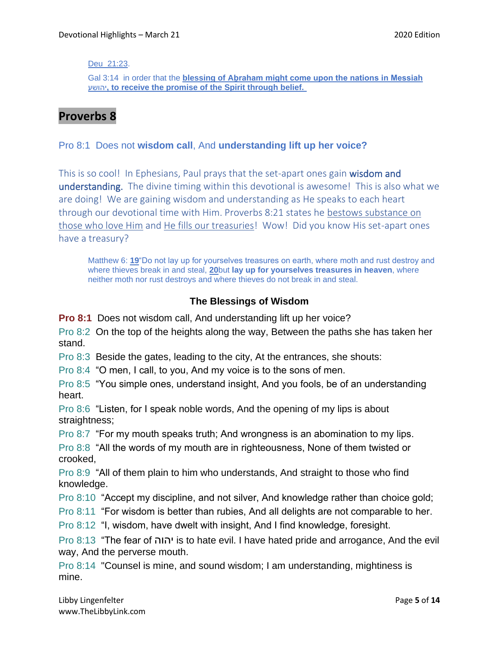#### Deu\_21:23.

Gal 3:14 in order that the **blessing of Aḇraham might come upon the nations in Messiah**  יהושע**, to receive the promise of the Spirit through belief.**

# **Proverbs 8**

#### Pro 8:1 Does not **wisdom call**, And **understanding lift up her voice?**

This is so cool! In Ephesians, Paul prays that the set-apart ones gain wisdom and understanding. The divine timing within this devotional is awesome! This is also what we are doing! We are gaining wisdom and understanding as He speaks to each heart through our devotional time with Him. Proverbs 8:21 states he bestows substance on those who love Him and He fills our treasuries! Wow! Did you know His set-apart ones have a treasury?

Matthew 6: **[19](https://biblehub.com/matthew/6-19.htm)**"Do not lay up for yourselves treasures on earth, where moth and rust destroy and where thieves break in and steal, **[20](https://biblehub.com/matthew/6-20.htm)**but **lay up for yourselves treasures in heaven**, where neither moth nor rust destroys and where thieves do not break in and steal.

## **The Blessings of Wisdom**

**Pro 8:1** Does not wisdom call, And understanding lift up her voice?

Pro 8:2 On the top of the heights along the way, Between the paths she has taken her stand.

Pro 8:3 Beside the gates, leading to the city, At the entrances, she shouts:

Pro 8:4 "O men, I call, to you, And my voice is to the sons of men.

Pro 8:5 "You simple ones, understand insight, And you fools, be of an understanding heart.

Pro 8:6 "Listen, for I speak noble words, And the opening of my lips is about straightness;

Pro 8:7 "For my mouth speaks truth; And wrongness is an abomination to my lips.

Pro 8:8 "All the words of my mouth are in righteousness, None of them twisted or crooked,

Pro 8:9 "All of them plain to him who understands, And straight to those who find knowledge.

Pro 8:10 "Accept my discipline, and not silver, And knowledge rather than choice gold;

Pro 8:11 "For wisdom is better than rubies, And all delights are not comparable to her.

Pro 8:12 "I, wisdom, have dwelt with insight, And I find knowledge, foresight.

Pro 8:13 "The fear of יהוה is to hate evil. I have hated pride and arrogance, And the evil way, And the perverse mouth.

Pro 8:14 "Counsel is mine, and sound wisdom; I am understanding, mightiness is mine.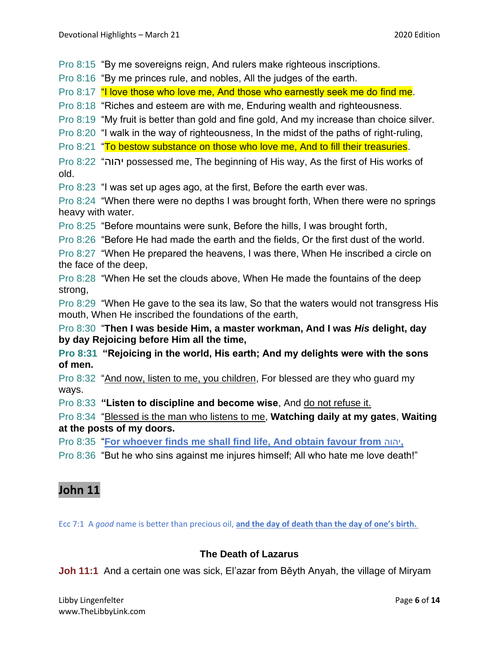Pro 8:15 "By me sovereigns reign, And rulers make righteous inscriptions.

Pro 8:16 "By me princes rule, and nobles, All the judges of the earth.

Pro 8:17 "I love those who love me, And those who earnestly seek me do find me.

Pro 8:18 "Riches and esteem are with me, Enduring wealth and righteousness.

Pro 8:19 "My fruit is better than gold and fine gold, And my increase than choice silver.

Pro 8:20 "I walk in the way of righteousness, In the midst of the paths of right-ruling,

Pro 8:21 "To bestow substance on those who love me, And to fill their treasuries.

Pro 8:22 "יהוה possessed me, The beginning of His way, As the first of His works of old.

Pro 8:23 "I was set up ages ago, at the first, Before the earth ever was.

Pro 8:24 "When there were no depths I was brought forth, When there were no springs heavy with water.

Pro 8:25 "Before mountains were sunk, Before the hills, I was brought forth,

Pro 8:26 "Before He had made the earth and the fields, Or the first dust of the world.

Pro 8:27 "When He prepared the heavens, I was there, When He inscribed a circle on the face of the deep,

Pro 8:28 "When He set the clouds above, When He made the fountains of the deep strong,

Pro 8:29 "When He gave to the sea its law, So that the waters would not transgress His mouth, When He inscribed the foundations of the earth,

Pro 8:30 "**Then I was beside Him, a master workman, And I was** *His* **delight, day by day Rejoicing before Him all the time,**

**Pro 8:31 "Rejoicing in the world, His earth; And my delights were with the sons of men.**

Pro 8:32 "And now, listen to me, you children, For blessed are they who guard my ways.

Pro 8:33 **"Listen to discipline and become wise**, And do not refuse it.

Pro 8:34 "Blessed is the man who listens to me, **Watching daily at my gates**, **Waiting at the posts of my doors.**

Pro 8:35 "**For whoever finds me shall find life, And obtain favour from** יהוה**,**

Pro 8:36 "But he who sins against me injures himself; All who hate me love death!"

# **John 11**

Ecc 7:1 A *good* name is better than precious oil, **and the day of death than the day of one's birth.**

## **The Death of Lazarus**

**Joh 11:1** And a certain one was sick, El'azar from Běyth Anyah, the village of Miryam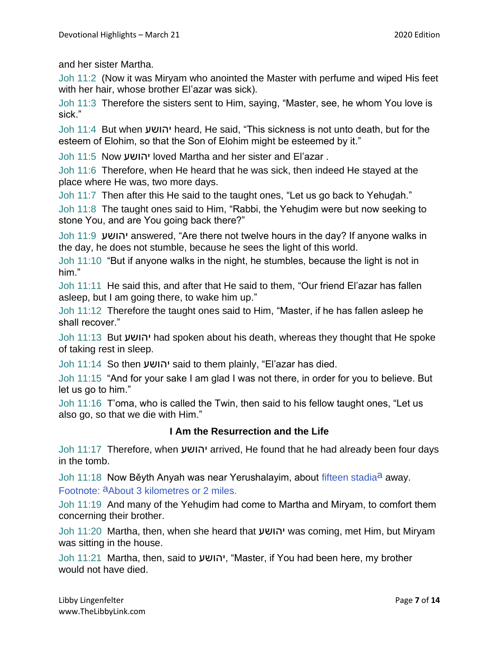and her sister Martha.

Joh 11:2 (Now it was Miryam who anointed the Master with perfume and wiped His feet with her hair, whose brother El'azar was sick).

Joh 11:3 Therefore the sisters sent to Him, saying, "Master, see, he whom You love is sick."

Joh 11:4 But when יהושע heard, He said, "This sickness is not unto death, but for the esteem of Elohim, so that the Son of Elohim might be esteemed by it."

Joh 11:5 Now יהושע loved Martha and her sister and El'azar .

Joh 11:6 Therefore, when He heard that he was sick, then indeed He stayed at the place where He was, two more days.

Joh 11:7 Then after this He said to the taught ones, "Let us go back to Yehudah."

Joh 11:8 The taught ones said to Him, "Rabbi, the Yehuḏim were but now seeking to stone You, and are You going back there?"

Joh 11:9 יהושע answered, "Are there not twelve hours in the day? If anyone walks in the day, he does not stumble, because he sees the light of this world.

Joh 11:10 "But if anyone walks in the night, he stumbles, because the light is not in him."

Joh 11:11 He said this, and after that He said to them, "Our friend El'azar has fallen asleep, but I am going there, to wake him up."

Joh 11:12 Therefore the taught ones said to Him, "Master, if he has fallen asleep he shall recover."

Joh 11:13 But יהושע had spoken about his death, whereas they thought that He spoke of taking rest in sleep.

Joh 11:14 So then יהושע said to them plainly, "El'azar has died.

Joh 11:15 "And for your sake I am glad I was not there, in order for you to believe. But let us go to him."

Joh 11:16 T'oma, who is called the Twin, then said to his fellow taught ones, "Let us also go, so that we die with Him."

#### **I Am the Resurrection and the Life**

Joh 11:17 Therefore, when יהושע arrived, He found that he had already been four days in the tomb.

Joh 11:18 Now Běyth Anyah was near Yerushalayim, about fifteen stadia<sup>a</sup> away. Footnote: aAbout 3 kilometres or 2 miles.

Joh 11:19 And many of the Yehuḏim had come to Martha and Miryam, to comfort them concerning their brother.

Joh 11:20 Martha, then, when she heard that יהושע was coming, met Him, but Miryam was sitting in the house.

Joh 11:21 Martha, then, said to יהושע," Master, if You had been here, my brother would not have died.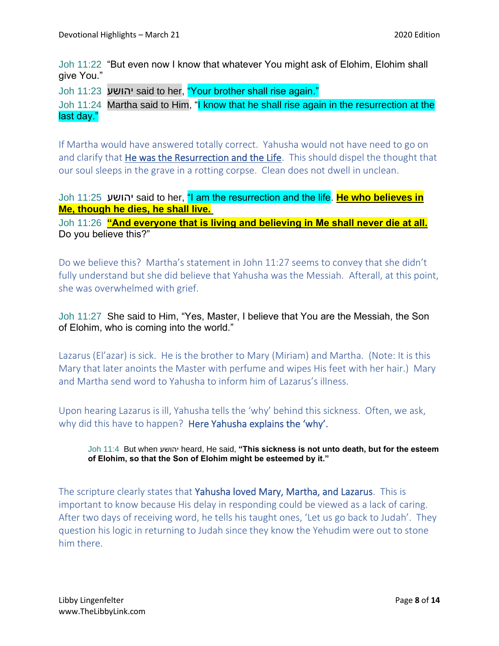Joh 11:22 "But even now I know that whatever You might ask of Elohim, Elohim shall give You."

Joh 11:23 יהושע said to her, "Your brother shall rise again."

Joh 11:24 Martha said to Him, "I know that he shall rise again in the resurrection at the last day."

If Martha would have answered totally correct. Yahusha would not have need to go on and clarify that He was the Resurrection and the Life. This should dispel the thought that our soul sleeps in the grave in a rotting corpse. Clean does not dwell in unclean.

Joh 11:25 יהושע said to her, "I am the resurrection and the life. **He who believes in Me, though he dies, he shall live.**

Joh 11:26 **"And everyone that is living and believing in Me shall never die at all.** Do you believe this?"

Do we believe this? Martha's statement in John 11:27 seems to convey that she didn't fully understand but she did believe that Yahusha was the Messiah. Afterall, at this point, she was overwhelmed with grief.

Joh 11:27 She said to Him, "Yes, Master, I believe that You are the Messiah, the Son of Elohim, who is coming into the world."

Lazarus (El'azar) is sick. He is the brother to Mary (Miriam) and Martha. (Note: It is this Mary that later anoints the Master with perfume and wipes His feet with her hair.) Mary and Martha send word to Yahusha to inform him of Lazarus's illness.

Upon hearing Lazarus is ill, Yahusha tells the 'why' behind this sickness. Often, we ask, why did this have to happen? Here Yahusha explains the 'why'.

Joh 11:4 But when יהושע heard, He said, **"This sickness is not unto death, but for the esteem of Elohim, so that the Son of Elohim might be esteemed by it."**

The scripture clearly states that Yahusha loved Mary, Martha, and Lazarus. This is important to know because His delay in responding could be viewed as a lack of caring. After two days of receiving word, he tells his taught ones, 'Let us go back to Judah'. They question his logic in returning to Judah since they know the Yehudim were out to stone him there.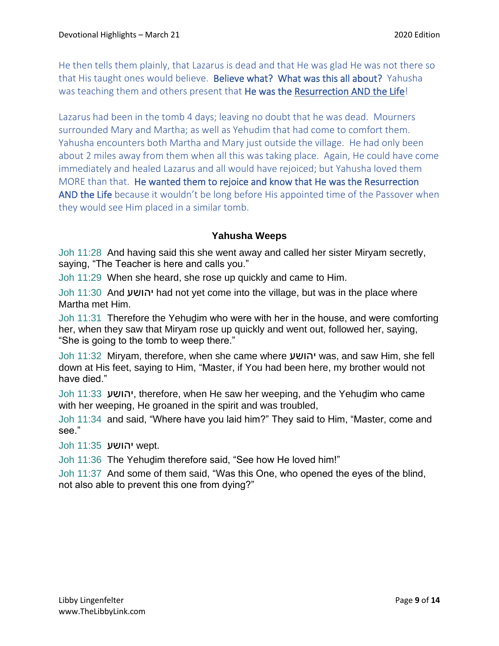He then tells them plainly, that Lazarus is dead and that He was glad He was not there so that His taught ones would believe. Believe what? What was this all about? Yahusha was teaching them and others present that He was the Resurrection AND the Life!

Lazarus had been in the tomb 4 days; leaving no doubt that he was dead. Mourners surrounded Mary and Martha; as well as Yehudim that had come to comfort them. Yahusha encounters both Martha and Mary just outside the village. He had only been about 2 miles away from them when all this was taking place. Again, He could have come immediately and healed Lazarus and all would have rejoiced; but Yahusha loved them MORE than that. He wanted them to rejoice and know that He was the Resurrection AND the Life because it wouldn't be long before His appointed time of the Passover when they would see Him placed in a similar tomb.

## **Yahusha Weeps**

Joh 11:28 And having said this she went away and called her sister Miryam secretly, saying, "The Teacher is here and calls you."

Joh 11:29 When she heard, she rose up quickly and came to Him.

Joh 11:30 And יהושע had not yet come into the village, but was in the place where Martha met Him.

Joh 11:31 Therefore the Yehuḏim who were with her in the house, and were comforting her, when they saw that Miryam rose up quickly and went out, followed her, saying, "She is going to the tomb to weep there."

Joh 11:32 Miryam, therefore, when she came where יהושע was, and saw Him, she fell down at His feet, saying to Him, "Master, if You had been here, my brother would not have died."

Joh 11:33 יהושע, therefore, when He saw her weeping, and the Yehuḏim who came with her weeping, He groaned in the spirit and was troubled,

Joh 11:34 and said, "Where have you laid him?" They said to Him, "Master, come and see."

Joh 11:35 יהושע wept.

Joh 11:36 The Yehudim therefore said, "See how He loved him!"

Joh 11:37 And some of them said, "Was this One, who opened the eyes of the blind, not also able to prevent this one from dying?"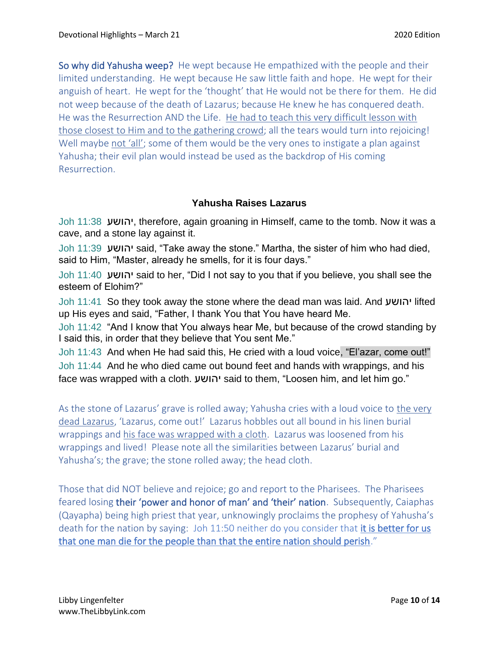So why did Yahusha weep? He wept because He empathized with the people and their limited understanding. He wept because He saw little faith and hope. He wept for their anguish of heart. He wept for the 'thought' that He would not be there for them. He did not weep because of the death of Lazarus; because He knew he has conquered death. He was the Resurrection AND the Life. He had to teach this very difficult lesson with those closest to Him and to the gathering crowd; all the tears would turn into rejoicing! Well maybe not 'all'; some of them would be the very ones to instigate a plan against Yahusha; their evil plan would instead be used as the backdrop of His coming Resurrection.

## **Yahusha Raises Lazarus**

Joh 11:38 יהושע, therefore, again groaning in Himself, came to the tomb. Now it was a cave, and a stone lay against it.

Joh 11:39 יהושע said, "Take away the stone." Martha, the sister of him who had died, said to Him, "Master, already he smells, for it is four days."

Joh 11:40 יהושע said to her, "Did I not say to you that if you believe, you shall see the esteem of Elohim?"

Joh 11:41 So they took away the stone where the dead man was laid. And יהושע lifted up His eyes and said, "Father, I thank You that You have heard Me.

Joh 11:42 "And I know that You always hear Me, but because of the crowd standing by I said this, in order that they believe that You sent Me."

Joh 11:43 And when He had said this, He cried with a loud voice, "El'azar, come out!" Joh 11:44 And he who died came out bound feet and hands with wrappings, and his face was wrapped with a cloth. יהושע said to them, "Loosen him, and let him go."

As the stone of Lazarus' grave is rolled away; Yahusha cries with a loud voice to the very dead Lazarus, 'Lazarus, come out!' Lazarus hobbles out all bound in his linen burial wrappings and his face was wrapped with a cloth. Lazarus was loosened from his wrappings and lived! Please note all the similarities between Lazarus' burial and Yahusha's; the grave; the stone rolled away; the head cloth.

Those that did NOT believe and rejoice; go and report to the Pharisees. The Pharisees feared losing their 'power and honor of man' and 'their' nation. Subsequently, Caiaphas (Qayapha) being high priest that year, unknowingly proclaims the prophesy of Yahusha's death for the nation by saying: Joh 11:50 neither do you consider that it is better for us that one man die for the people than that the entire nation should perish."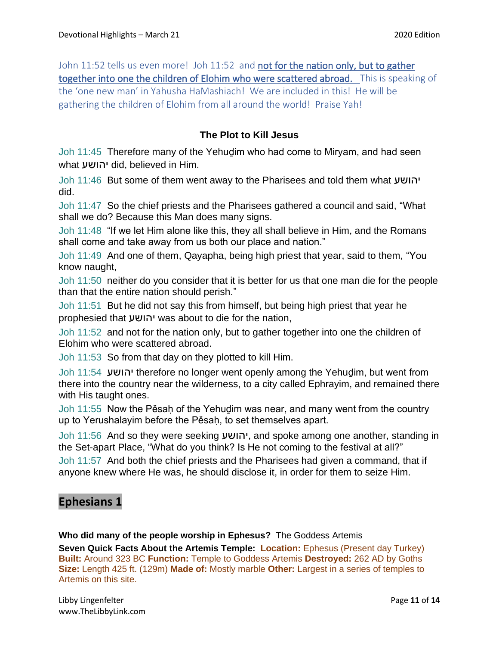John 11:52 tells us even more! Joh 11:52 and not for the nation only, but to gather together into one the children of Elohim who were scattered abroad. This is speaking of the 'one new man' in Yahusha HaMashiach! We are included in this! He will be gathering the children of Elohim from all around the world! Praise Yah!

### **The Plot to Kill Jesus**

Joh 11:45 Therefore many of the Yehuḏim who had come to Miryam, and had seen what יהושע did, believed in Him.

Joh 11:46 But some of them went away to the Pharisees and told them what יהושע did.

Joh 11:47 So the chief priests and the Pharisees gathered a council and said, "What shall we do? Because this Man does many signs.

Joh 11:48 "If we let Him alone like this, they all shall believe in Him, and the Romans shall come and take away from us both our place and nation."

Joh 11:49 And one of them, Qayapha, being high priest that year, said to them, "You know naught,

Joh 11:50 neither do you consider that it is better for us that one man die for the people than that the entire nation should perish."

Joh 11:51 But he did not say this from himself, but being high priest that year he prophesied that יהושע was about to die for the nation,

Joh 11:52 and not for the nation only, but to gather together into one the children of Elohim who were scattered abroad.

Joh 11:53 So from that day on they plotted to kill Him.

Joh 11:54 יהושע therefore no longer went openly among the Yehuḏim, but went from there into the country near the wilderness, to a city called Ephrayim, and remained there with His taught ones.

Joh 11:55 Now the Pěsah of the Yehudim was near, and many went from the country up to Yerushalayim before the Pěsaḥ, to set themselves apart.

Joh 11:56 And so they were seeking יהושע, and spoke among one another, standing in the Set-apart Place, "What do you think? Is He not coming to the festival at all?"

Joh 11:57 And both the chief priests and the Pharisees had given a command, that if anyone knew where He was, he should disclose it, in order for them to seize Him.

# **Ephesians 1**

**Who did many of the people worship in Ephesus?** The Goddess Artemis

**Seven Quick Facts About the Artemis Temple: Location:** Ephesus (Present day Turkey) **Built:** Around 323 BC **Function:** Temple to Goddess Artemis **Destroyed:** 262 AD by Goths **Size:** Length 425 ft. (129m) **Made of:** Mostly marble **Other:** Largest in a series of temples to Artemis on this site.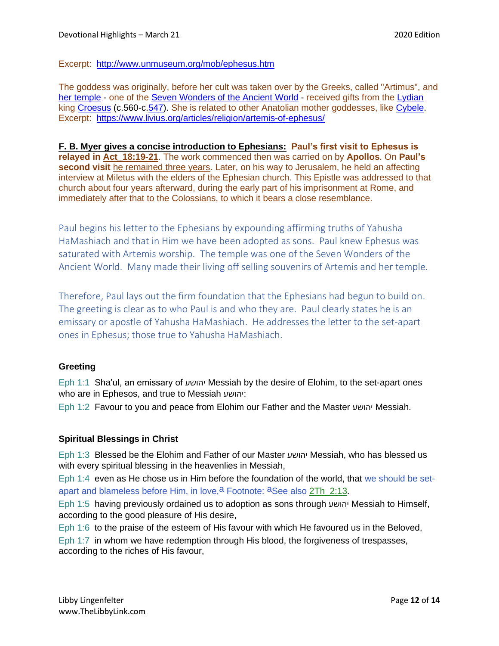Excerpt: <http://www.unmuseum.org/mob/ephesus.htm>

The goddess was originally, before her cult was taken over by the Greeks, called "Artimus", and [her temple](https://www.livius.org/articles/place/ephesus/ephesus-photos/ephesus-temple-of-artemis/) - one of the [Seven Wonders of the Ancient World](https://www.livius.org/articles/concept/seven-wonders-of-the-ancient-world/) - received gifts from the [Lydian](https://www.livius.org/articles/place/lydia/) king [Croesus](https://www.livius.org/person/croesus/) (c.560-c[.547\)](https://www.livius.org/articles/misc/the-end-of-lydia-547/). She is related to other Anatolian mother goddesses, like [Cybele.](https://www.livius.org/articles/religion/cybele/) Excerpt: <https://www.livius.org/articles/religion/artemis-of-ephesus/>

**F. B. Myer gives a concise introduction to Ephesians: Paul's first visit to Ephesus is relayed in Act\_18:19-21**. The work commenced then was carried on by **Apollos**. On **Paul's second visit** he remained three years. Later, on his way to Jerusalem, he held an affecting interview at Miletus with the elders of the Ephesian church. This Epistle was addressed to that church about four years afterward, during the early part of his imprisonment at Rome, and immediately after that to the Colossians, to which it bears a close resemblance.

Paul begins his letter to the Ephesians by expounding affirming truths of Yahusha HaMashiach and that in Him we have been adopted as sons. Paul knew Ephesus was saturated with Artemis worship. The temple was one of the Seven Wonders of the Ancient World. Many made their living off selling souvenirs of Artemis and her temple.

Therefore, Paul lays out the firm foundation that the Ephesians had begun to build on. The greeting is clear as to who Paul is and who they are. Paul clearly states he is an emissary or apostle of Yahusha HaMashiach. He addresses the letter to the set-apart ones in Ephesus; those true to Yahusha HaMashiach.

#### **Greeting**

Eph 1:1 Sha'ul, an emissary of יהושע Messiah by the desire of Elohim, to the set-apart ones who are in Ephesos, and true to Messiah יהושע:

Eph 1:2 Favour to you and peace from Elohim our Father and the Master יהושע Messiah.

#### **Spiritual Blessings in Christ**

Eph 1:3 Blessed be the Elohim and Father of our Master יהושע Messiah, who has blessed us with every spiritual blessing in the heavenlies in Messiah,

Eph 1:4 even as He chose us in Him before the foundation of the world, that we should be setapart and blameless before Him, in love, <sup>a</sup> Footnote: <sup>a</sup>See also 2Th\_2:13.

Eph 1:5 having previously ordained us to adoption as sons through יהושע Messiah to Himself, according to the good pleasure of His desire,

Eph 1:6 to the praise of the esteem of His favour with which He favoured us in the Beloved,

Eph 1:7 in whom we have redemption through His blood, the forgiveness of trespasses, according to the riches of His favour,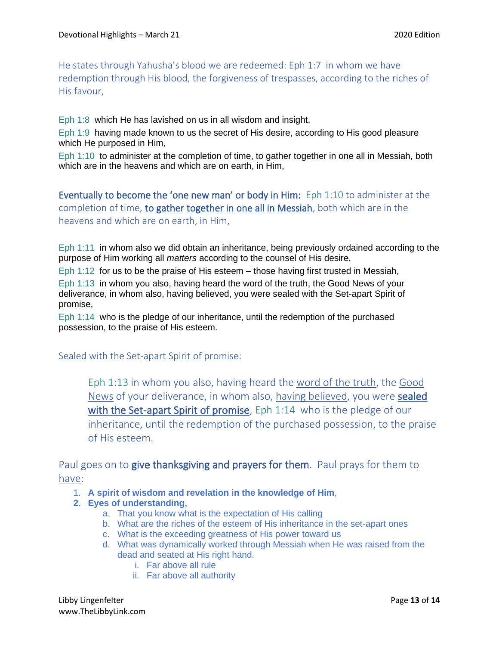He states through Yahusha's blood we are redeemed: Eph 1:7 in whom we have redemption through His blood, the forgiveness of trespasses, according to the riches of His favour,

Eph 1:8 which He has lavished on us in all wisdom and insight,

Eph 1:9 having made known to us the secret of His desire, according to His good pleasure which He purposed in Him,

Eph 1:10 to administer at the completion of time, to gather together in one all in Messiah, both which are in the heavens and which are on earth, in Him,

Eventually to become the 'one new man' or body in Him: Eph 1:10 to administer at the completion of time, to gather together in one all in Messiah, both which are in the heavens and which are on earth, in Him,

Eph 1:11 in whom also we did obtain an inheritance, being previously ordained according to the purpose of Him working all *matters* according to the counsel of His desire,

Eph 1:12 for us to be the praise of His esteem – those having first trusted in Messiah,

Eph 1:13 in whom you also, having heard the word of the truth, the Good News of your deliverance, in whom also, having believed, you were sealed with the Set-apart Spirit of promise,

Eph 1:14 who is the pledge of our inheritance, until the redemption of the purchased possession, to the praise of His esteem.

Sealed with the Set-apart Spirit of promise:

Eph 1:13 in whom you also, having heard the word of the truth, the Good News of your deliverance, in whom also, having believed, you were sealed with the Set-apart Spirit of promise, Eph 1:14 who is the pledge of our inheritance, until the redemption of the purchased possession, to the praise of His esteem.

Paul goes on to give thanksgiving and prayers for them. Paul prays for them to have:

- 1. **A spirit of wisdom and revelation in the knowledge of Him**,
- **2. Eyes of understanding,**
	- a. That you know what is the expectation of His calling
	- b. What are the riches of the esteem of His inheritance in the set-apart ones
	- c. What is the exceeding greatness of His power toward us
	- d. What was dynamically worked through Messiah when He was raised from the dead and seated at His right hand.
		- i. Far above all rule
		- ii. Far above all authority